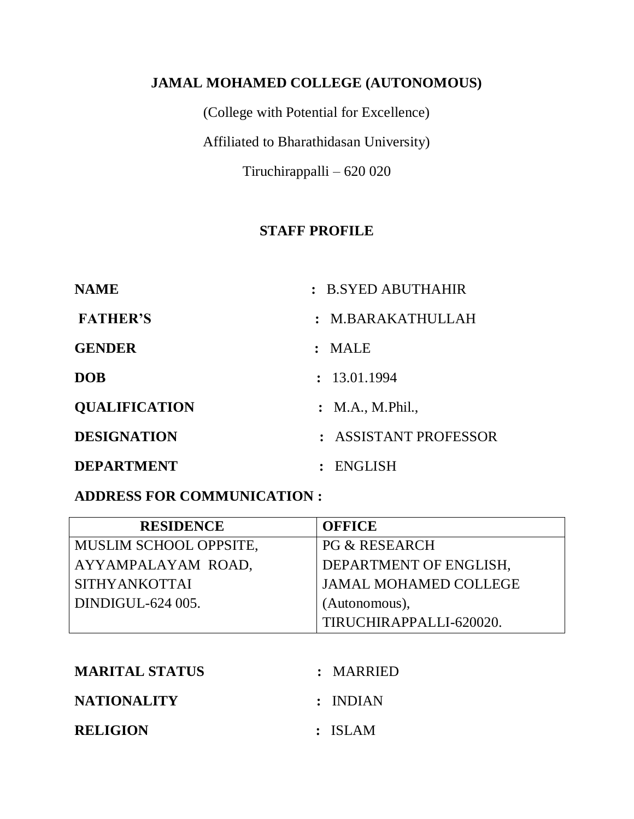### **JAMAL MOHAMED COLLEGE (AUTONOMOUS)**

(College with Potential for Excellence) Affiliated to Bharathidasan University) Tiruchirappalli – 620 020

## **STAFF PROFILE**

| <b>NAME</b>          | : B.SYED ABUTHAHIR    |
|----------------------|-----------------------|
| <b>FATHER'S</b>      | : M.BARAKATHULLAH     |
| <b>GENDER</b>        | : MALE                |
| <b>DOB</b>           | : 13.01.1994          |
| <b>OUALIFICATION</b> | : M.A., M. Phil.,     |
| <b>DESIGNATION</b>   | : ASSISTANT PROFESSOR |
| <b>DEPARTMENT</b>    | ENGLISH               |

#### **ADDRESS FOR COMMUNICATION :**

| <b>RESIDENCE</b>       | <b>OFFICE</b>                |
|------------------------|------------------------------|
| MUSLIM SCHOOL OPPSITE, | <b>PG &amp; RESEARCH</b>     |
| AYYAMPALAYAM ROAD,     | DEPARTMENT OF ENGLISH,       |
| <b>SITHYANKOTTAI</b>   | <b>JAMAL MOHAMED COLLEGE</b> |
| DINDIGUL-624 005.      | (Autonomous),                |
|                        | TIRUCHIRAPPALLI-620020.      |

| <b>MARITAL STATUS</b> | : MARRIED |
|-----------------------|-----------|
| <b>NATIONALITY</b>    | : INDIAN  |
| <b>RELIGION</b>       | : ISLAM   |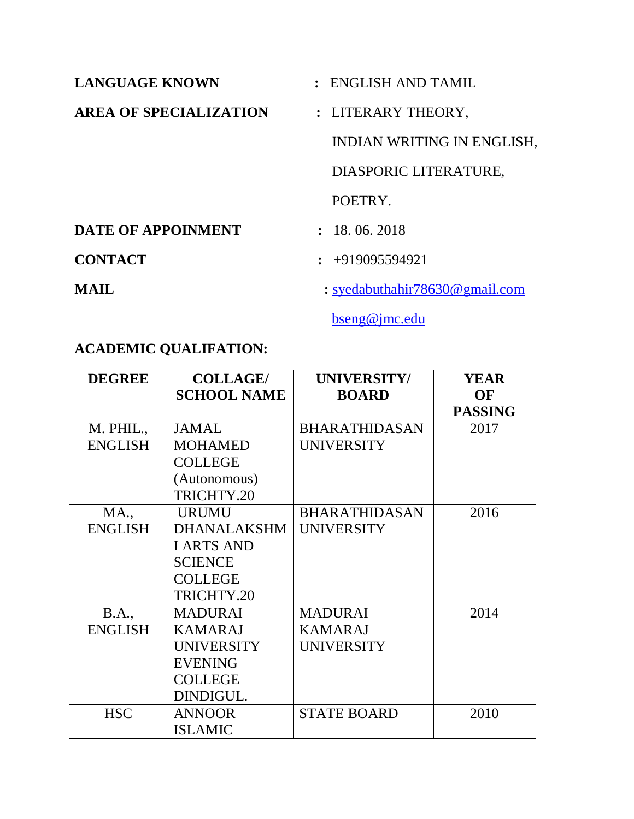| <b>LANGUAGE KNOWN</b>         | : ENGLISH AND TAMIL                |  |
|-------------------------------|------------------------------------|--|
| <b>AREA OF SPECIALIZATION</b> | : LITERARY THEORY,                 |  |
|                               | INDIAN WRITING IN ENGLISH,         |  |
|                               | DIASPORIC LITERATURE,              |  |
|                               | POETRY.                            |  |
| DATE OF APPOINMENT            | : 18, 06, 2018                     |  |
| <b>CONTACT</b>                | $\div$ +919095594921               |  |
| MAIL                          | : syedabuthahir $78630$ @gmail.com |  |

[bseng@jmc.edu](mailto:bseng@jmc.edu)

# **ACADEMIC QUALIFATION:**

| <b>DEGREE</b>  | <b>COLLAGE/</b>    | UNIVERSITY/          | <b>YEAR</b>    |
|----------------|--------------------|----------------------|----------------|
|                | <b>SCHOOL NAME</b> | <b>BOARD</b>         | OF             |
|                |                    |                      | <b>PASSING</b> |
| M. PHIL.,      | <b>JAMAL</b>       | <b>BHARATHIDASAN</b> | 2017           |
| <b>ENGLISH</b> | <b>MOHAMED</b>     | <b>UNIVERSITY</b>    |                |
|                | <b>COLLEGE</b>     |                      |                |
|                | (Autonomous)       |                      |                |
|                | TRICHTY.20         |                      |                |
| <b>MA.,</b>    | <b>URUMU</b>       | <b>BHARATHIDASAN</b> | 2016           |
| <b>ENGLISH</b> | <b>DHANALAKSHM</b> | <b>UNIVERSITY</b>    |                |
|                | <b>I ARTS AND</b>  |                      |                |
|                | <b>SCIENCE</b>     |                      |                |
|                | <b>COLLEGE</b>     |                      |                |
|                | TRICHTY.20         |                      |                |
| <b>B.A.</b> ,  | <b>MADURAI</b>     | <b>MADURAI</b>       | 2014           |
| <b>ENGLISH</b> | <b>KAMARAJ</b>     | <b>KAMARAJ</b>       |                |
|                | <b>UNIVERSITY</b>  | <b>UNIVERSITY</b>    |                |
|                | <b>EVENING</b>     |                      |                |
|                | <b>COLLEGE</b>     |                      |                |
|                | DINDIGUL.          |                      |                |
| <b>HSC</b>     | <b>ANNOOR</b>      | <b>STATE BOARD</b>   | 2010           |
|                | <b>ISLAMIC</b>     |                      |                |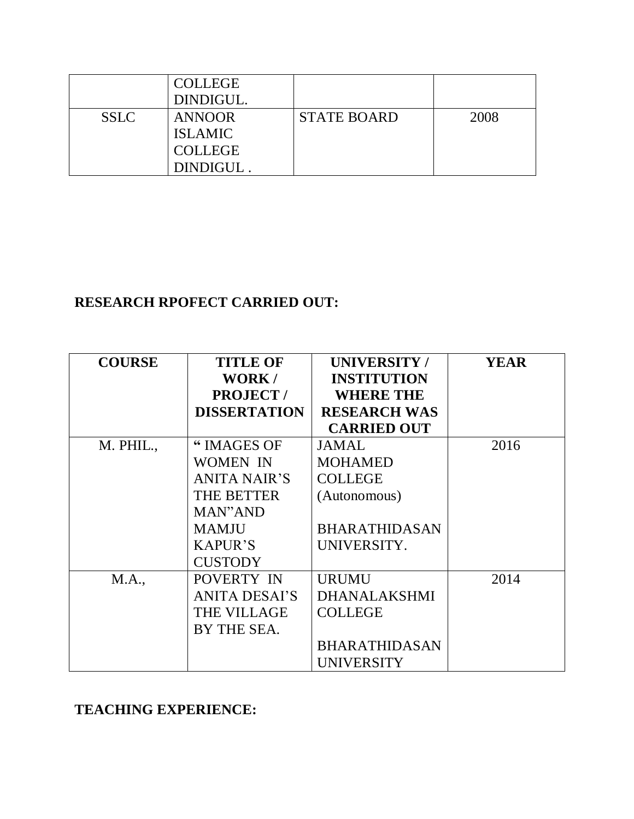|             | <b>COLLEGE</b><br>DINDIGUL. |                    |      |
|-------------|-----------------------------|--------------------|------|
| <b>SSLC</b> | <b>ANNOOR</b>               | <b>STATE BOARD</b> | 2008 |
|             | <b>ISLAMIC</b>              |                    |      |
|             | <b>COLLEGE</b>              |                    |      |
|             | DINDIGUL                    |                    |      |

# **RESEARCH RPOFECT CARRIED OUT:**

| <b>COURSE</b> | <b>TITLE OF</b><br>WORK/<br><b>PROJECT/</b><br><b>DISSERTATION</b> | <b>UNIVERSITY/</b><br><b>INSTITUTION</b><br><b>WHERE THE</b><br><b>RESEARCH WAS</b> | YEAR |
|---------------|--------------------------------------------------------------------|-------------------------------------------------------------------------------------|------|
|               |                                                                    | <b>CARRIED OUT</b>                                                                  |      |
| M. PHIL.,     | " IMAGES OF                                                        | <b>JAMAL</b>                                                                        | 2016 |
|               | <b>WOMEN IN</b>                                                    | <b>MOHAMED</b>                                                                      |      |
|               | <b>ANITA NAIR'S</b>                                                | <b>COLLEGE</b>                                                                      |      |
|               | <b>THE BETTER</b>                                                  | (Autonomous)                                                                        |      |
|               | MAN"AND                                                            |                                                                                     |      |
|               | <b>MAMJU</b>                                                       | <b>BHARATHIDASAN</b>                                                                |      |
|               | <b>KAPUR'S</b>                                                     | UNIVERSITY.                                                                         |      |
|               | <b>CUSTODY</b>                                                     |                                                                                     |      |
| M.A.,         | POVERTY IN                                                         | <b>URUMU</b>                                                                        | 2014 |
|               | <b>ANITA DESAI'S</b>                                               | <b>DHANALAKSHMI</b>                                                                 |      |
|               | <b>THE VILLAGE</b>                                                 | <b>COLLEGE</b>                                                                      |      |
|               | BY THE SEA.                                                        |                                                                                     |      |
|               |                                                                    | <b>BHARATHIDASAN</b>                                                                |      |
|               |                                                                    | <b>UNIVERSITY</b>                                                                   |      |

**TEACHING EXPERIENCE:**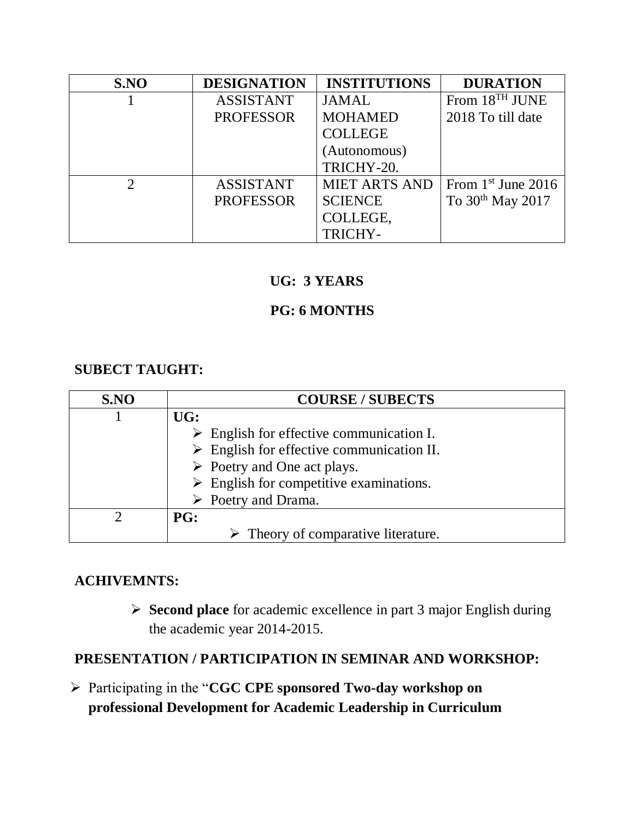| S.NO          | <b>DESIGNATION</b> | <b>INSTITUTIONS</b>  | <b>DURATION</b>              |
|---------------|--------------------|----------------------|------------------------------|
|               | <b>ASSISTANT</b>   | <b>JAMAL</b>         | From 18 <sup>TH</sup> JUNE   |
|               | <b>PROFESSOR</b>   | <b>MOHAMED</b>       | 2018 To till date            |
|               |                    | <b>COLLEGE</b>       |                              |
|               |                    | (Autonomous)         |                              |
|               |                    | TRICHY-20.           |                              |
| $\mathcal{D}$ | <b>ASSISTANT</b>   | <b>MIET ARTS AND</b> | From $1st$ June 2016         |
|               | <b>PROFESSOR</b>   | <b>SCIENCE</b>       | To 30 <sup>th</sup> May 2017 |
|               |                    | COLLEGE,             |                              |
|               |                    | TRICHY-              |                              |

### **UG: 3 YEARS**

### **PG: 6 MONTHS**

#### **SUBECT TAUGHT:**

| S.NO | <b>COURSE / SUBECTS</b>                                  |
|------|----------------------------------------------------------|
|      | UG:                                                      |
|      | $\triangleright$ English for effective communication I.  |
|      | $\triangleright$ English for effective communication II. |
|      | $\triangleright$ Poetry and One act plays.               |
|      | $\triangleright$ English for competitive examinations.   |
|      | $\triangleright$ Poetry and Drama.                       |
|      | PG:                                                      |
|      | $\triangleright$ Theory of comparative literature.       |

#### **ACHIVEMNTS:**

 **Second place** for academic excellence in part 3 major English during the academic year 2014-2015.

### **PRESENTATION / PARTICIPATION IN SEMINAR AND WORKSHOP:**

 Participating in the "**CGC CPE sponsored Two-day workshop on professional Development for Academic Leadership in Curriculum**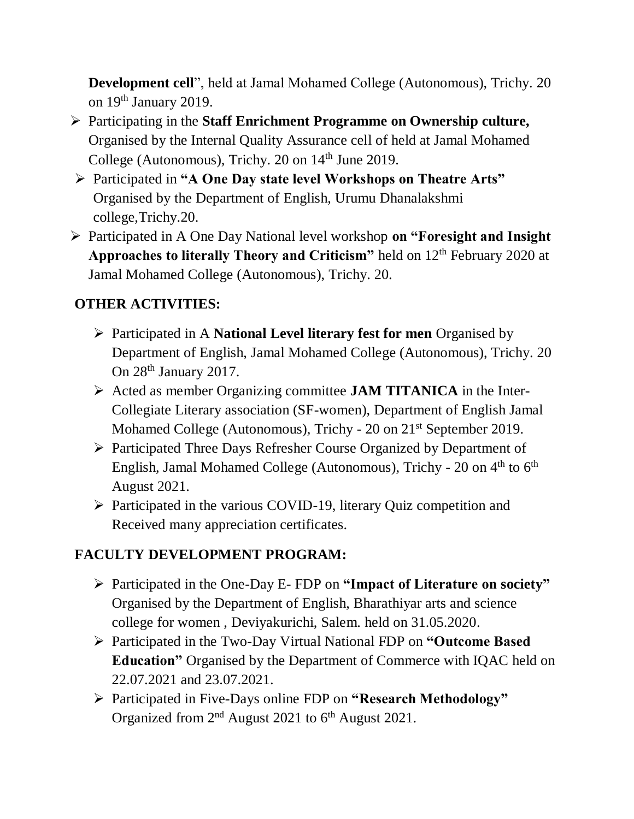**Development cell**", held at Jamal Mohamed College (Autonomous), Trichy. 20 on 19th January 2019.

- Participating in the **Staff Enrichment Programme on Ownership culture,** Organised by the Internal Quality Assurance cell of held at Jamal Mohamed College (Autonomous), Trichy.  $20$  on  $14<sup>th</sup>$  June 2019.
- Participated in **"A One Day state level Workshops on Theatre Arts"** Organised by the Department of English, Urumu Dhanalakshmi college,Trichy.20.
- Participated in A One Day National level workshop **on "Foresight and Insight Approaches to literally Theory and Criticism"** held on 12th February 2020 at Jamal Mohamed College (Autonomous), Trichy. 20.

# **OTHER ACTIVITIES:**

- Participated in A **National Level literary fest for men** Organised by Department of English, Jamal Mohamed College (Autonomous), Trichy. 20 On 28<sup>th</sup> January 2017.
- Acted as member Organizing committee **JAM TITANICA** in the Inter-Collegiate Literary association (SF-women), Department of English Jamal Mohamed College (Autonomous), Trichy - 20 on 21st September 2019.
- Participated Three Days Refresher Course Organized by Department of English, Jamal Mohamed College (Autonomous), Trichy - 20 on 4<sup>th</sup> to 6<sup>th</sup> August 2021.
- $\triangleright$  Participated in the various COVID-19, literary Quiz competition and Received many appreciation certificates.

# **FACULTY DEVELOPMENT PROGRAM:**

- Participated in the One-Day E- FDP on **"Impact of Literature on society"**  Organised by the Department of English, Bharathiyar arts and science college for women , Deviyakurichi, Salem. held on 31.05.2020.
- Participated in the Two-Day Virtual National FDP on **"Outcome Based Education"** Organised by the Department of Commerce with IQAC held on 22.07.2021 and 23.07.2021.
- Participated in Five-Days online FDP on **"Research Methodology"** Organized from  $2<sup>nd</sup>$  August 2021 to  $6<sup>th</sup>$  August 2021.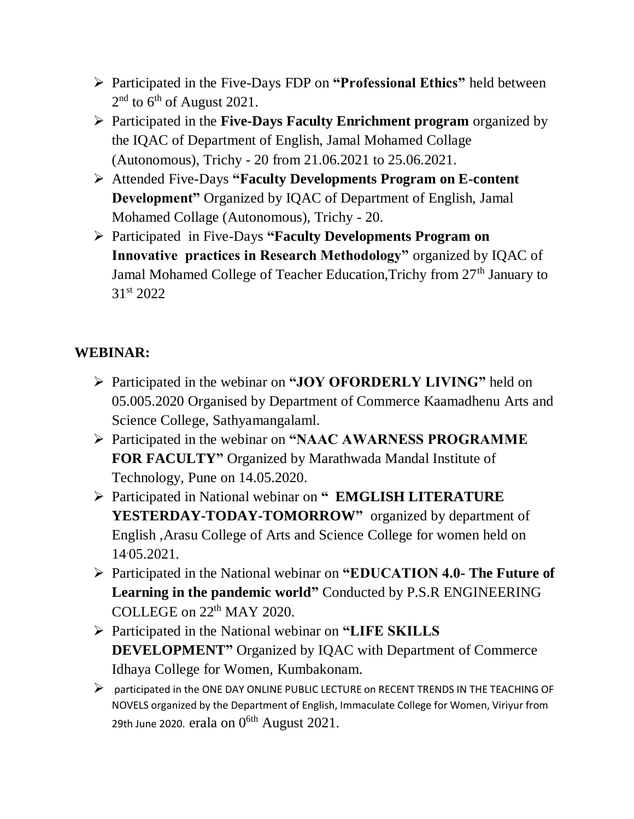- Participated in the Five-Days FDP on **"Professional Ethics"** held between  $2<sup>nd</sup>$  to 6<sup>th</sup> of August 2021.
- Participated in the **Five-Days Faculty Enrichment program** organized by the IQAC of Department of English, Jamal Mohamed Collage (Autonomous), Trichy - 20 from 21.06.2021 to 25.06.2021.
- Attended Five-Days **"Faculty Developments Program on E-content Development"** Organized by IQAC of Department of English, Jamal Mohamed Collage (Autonomous), Trichy - 20.
- Participated in Five-Days **"Faculty Developments Program on Innovative practices in Research Methodology"** organized by IQAC of Jamal Mohamed College of Teacher Education, Trichy from 27<sup>th</sup> January to 31st 2022

# **WEBINAR:**

- Participated in the webinar on **"JOY OFORDERLY LIVING"** held on 05.005.2020 Organised by Department of Commerce Kaamadhenu Arts and Science College, Sathyamangalaml.
- Participated in the webinar on **"NAAC AWARNESS PROGRAMME FOR FACULTY"** Organized by Marathwada Mandal Institute of Technology, Pune on 14.05.2020.
- Participated in National webinar on **" EMGLISH LITERATURE**  YESTERDAY-TODAY-TOMORROW" organized by department of English ,Arasu College of Arts and Science College for women held on 14.05.2021.
- Participated in the National webinar on **"EDUCATION 4.0- The Future of Learning in the pandemic world"** Conducted by P.S.R ENGINEERING COLLEGE on 22th MAY 2020.
- Participated in the National webinar on **"LIFE SKILLS DEVELOPMENT"** Organized by IQAC with Department of Commerce Idhaya College for Women, Kumbakonam.
- $\triangleright$  participated in the ONE DAY ONLINE PUBLIC LECTURE on RECENT TRENDS IN THE TEACHING OF NOVELS organized by the Department of English, Immaculate College for Women, Viriyur from 29th June 2020. erala on  $0^{6th}$  August 2021.